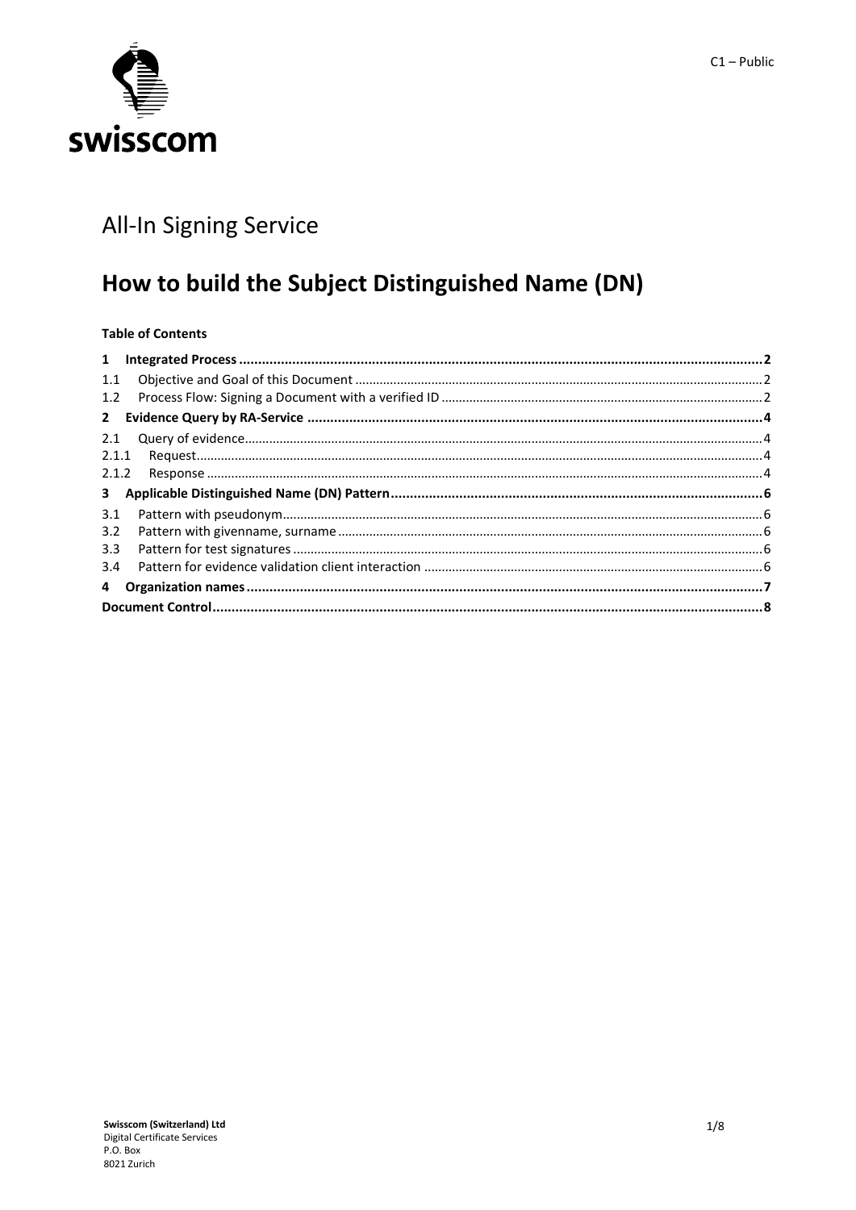

# All-In Signing Service

# How to build the Subject Distinguished Name (DN)

# **Table of Contents**

| 1.1 |  |  |  |  |
|-----|--|--|--|--|
| 1.2 |  |  |  |  |
|     |  |  |  |  |
| 2.1 |  |  |  |  |
|     |  |  |  |  |
|     |  |  |  |  |
|     |  |  |  |  |
| 3.1 |  |  |  |  |
| 3.2 |  |  |  |  |
| 3.3 |  |  |  |  |
| 3.4 |  |  |  |  |
|     |  |  |  |  |
|     |  |  |  |  |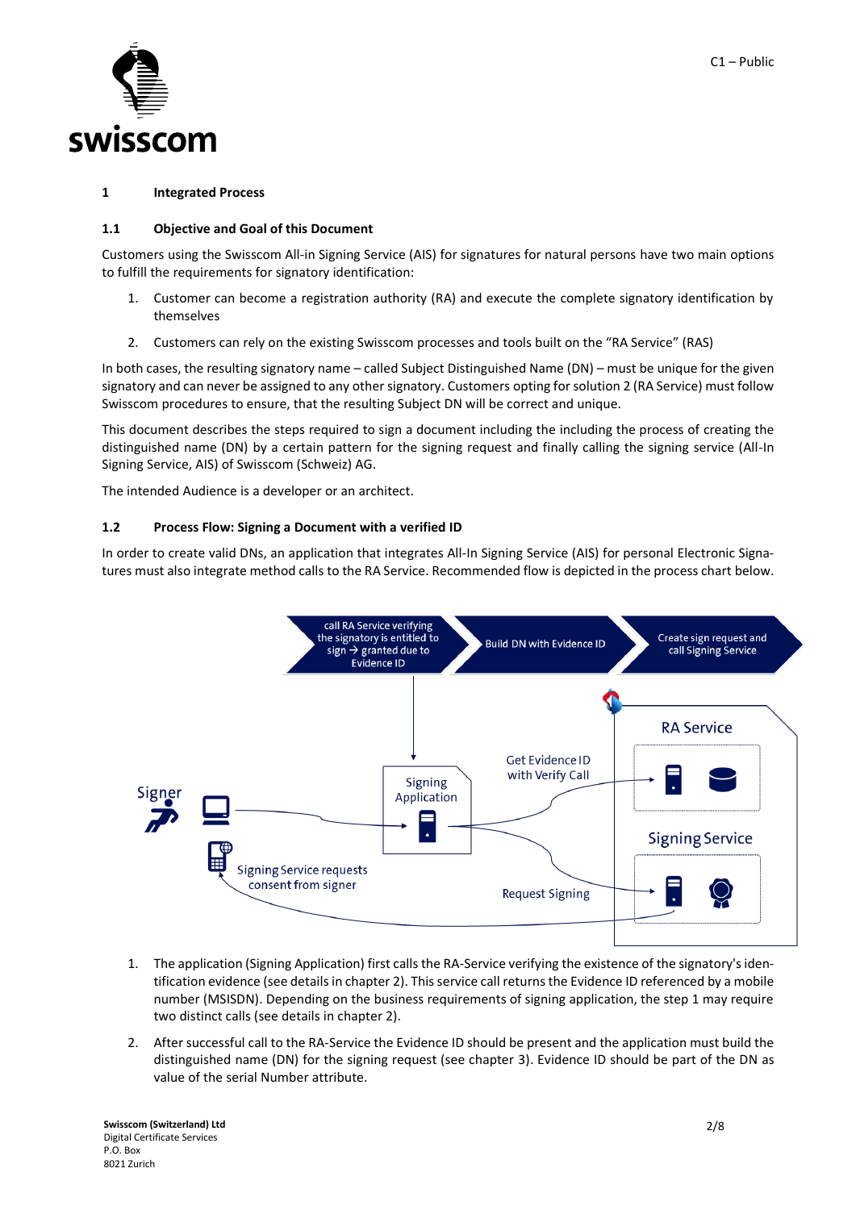

#### <span id="page-1-0"></span>**1 Integrated Process**

### <span id="page-1-1"></span>**1.1 Objective and Goal of this Document**

Customers using the Swisscom All-in Signing Service (AIS) for signatures for natural persons have two main options to fulfill the requirements for signatory identification:

- 1. Customer can become a registration authority (RA) and execute the complete signatory identification by themselves
- 2. Customers can rely on the existing Swisscom processes and tools built on the "RA Service" (RAS)

In both cases, the resulting signatory name – called Subject Distinguished Name (DN) – must be unique for the given signatory and can never be assigned to any other signatory. Customers opting for solution 2 (RA Service) must follow Swisscom procedures to ensure, that the resulting Subject DN will be correct and unique.

This document describes the steps required to sign a document including the including the process of creating the distinguished name (DN) by a certain pattern for the signing request and finally calling the signing service (All-In Signing Service, AIS) of Swisscom (Schweiz) AG.

The intended Audience is a developer or an architect.

### <span id="page-1-2"></span>**1.2 Process Flow: Signing a Document with a verified ID**

In order to create valid DNs, an application that integrates All-In Signing Service (AIS) for personal Electronic Signatures must also integrate method calls to the RA Service. Recommended flow is depicted in the process chart below.



- 1. The application (Signing Application) first calls the RA-Service verifying the existence of the signatory'sidentification evidence (see details in chapte[r 2\)](#page-3-0). This service call returns the Evidence ID referenced by a mobile number (MSISDN). Depending on the business requirements of signing application, the step 1 may require two distinct calls (see details in chapter 2).
- 2. After successful call to the RA-Service the Evidence ID should be present and the application must build the distinguished name (DN) for the signing request (see chapter [3\)](#page-5-0). Evidence ID should be part of the DN as value of the serial Number attribute.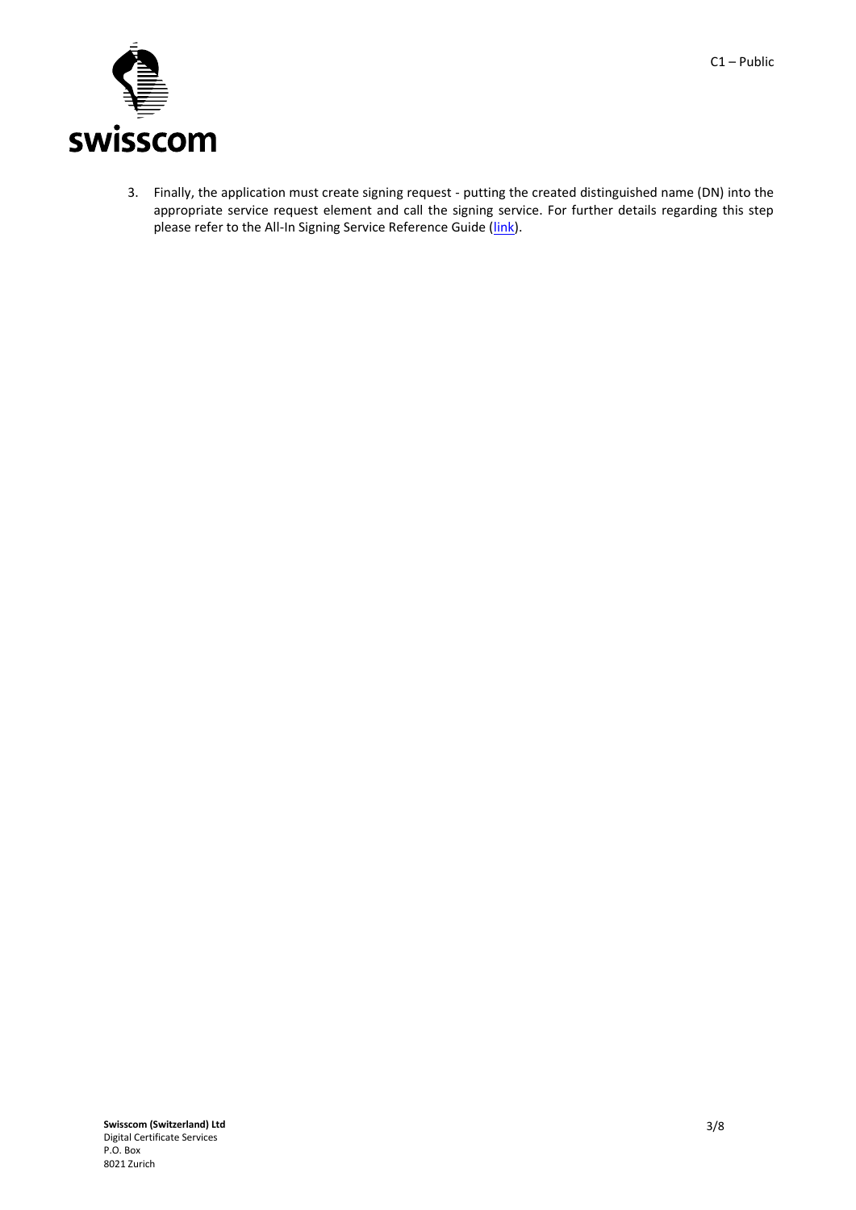

3. Finally, the application must create signing request - putting the created distinguished name (DN) into the appropriate service request element and call the signing service. For further details regarding this step please refer to the All-In Signing Service Reference Guide [\(link\)](http://documents.swisscom.com/product/1000255-Digital_Signing_Service/Documents/Reference_Guide/Reference_Guide-All-in-Signing-Service-en.pdf).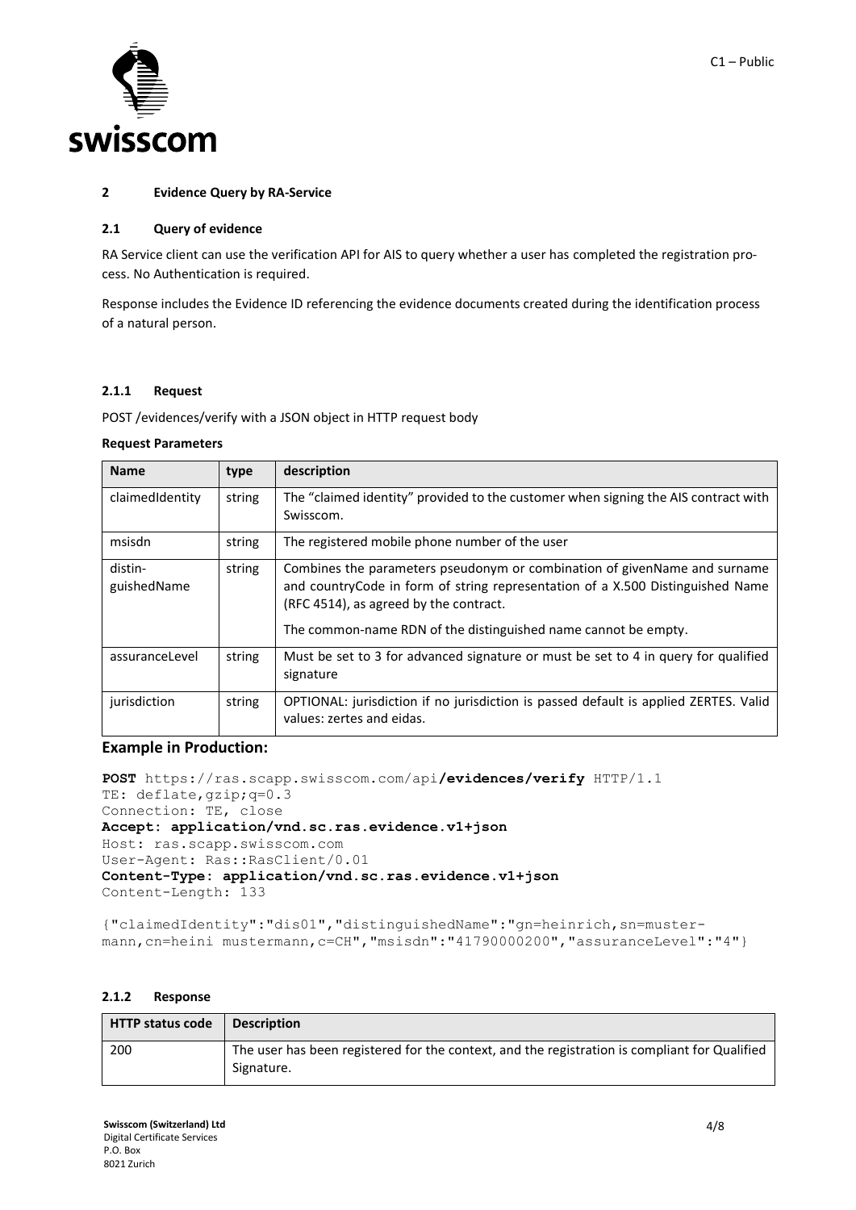

#### <span id="page-3-0"></span>**2 Evidence Query by RA-Service**

#### <span id="page-3-1"></span>**2.1 Query of evidence**

RA Service client can use the verification API for AIS to query whether a user has completed the registration process. No Authentication is required.

Response includes the Evidence ID referencing the evidence documents created during the identification process of a natural person.

#### <span id="page-3-2"></span>**2.1.1 Request**

POST /evidences/verify with a JSON object in HTTP request body

#### **Request Parameters**

| <b>Name</b>            | type   | description                                                                                                                                                                                                                                                              |
|------------------------|--------|--------------------------------------------------------------------------------------------------------------------------------------------------------------------------------------------------------------------------------------------------------------------------|
| claimedIdentity        | string | The "claimed identity" provided to the customer when signing the AIS contract with<br>Swisscom.                                                                                                                                                                          |
| msisdn                 | string | The registered mobile phone number of the user                                                                                                                                                                                                                           |
| distin-<br>guishedName | string | Combines the parameters pseudonym or combination of given Name and surname<br>and countryCode in form of string representation of a X.500 Distinguished Name<br>(RFC 4514), as agreed by the contract.<br>The common-name RDN of the distinguished name cannot be empty. |
| assuranceLevel         | string | Must be set to 3 for advanced signature or must be set to 4 in query for qualified<br>signature                                                                                                                                                                          |
| jurisdiction           | string | OPTIONAL: jurisdiction if no jurisdiction is passed default is applied ZERTES. Valid<br>values: zertes and eidas.                                                                                                                                                        |

# **Example in Production:**

```
POST https://ras.scapp.swisscom.com/api/evidences/verify HTTP/1.1
TE: deflate, gzip; q=0.3
Connection: TE, close
Accept: application/vnd.sc.ras.evidence.v1+json
Host: ras.scapp.swisscom.com
User-Agent: Ras::RasClient/0.01
Content-Type: application/vnd.sc.ras.evidence.v1+json
Content-Length: 133
```
{"claimedIdentity":"dis01","distinguishedName":"gn=heinrich,sn=mustermann, cn=heini mustermann, c=CH", "msisdn": "41790000200", "assuranceLevel": "4"}

#### <span id="page-3-3"></span>**2.1.2 Response**

| <b>HTTP status code</b> | <b>Description</b>                                                                                          |
|-------------------------|-------------------------------------------------------------------------------------------------------------|
| 200                     | The user has been registered for the context, and the registration is compliant for Qualified<br>Signature. |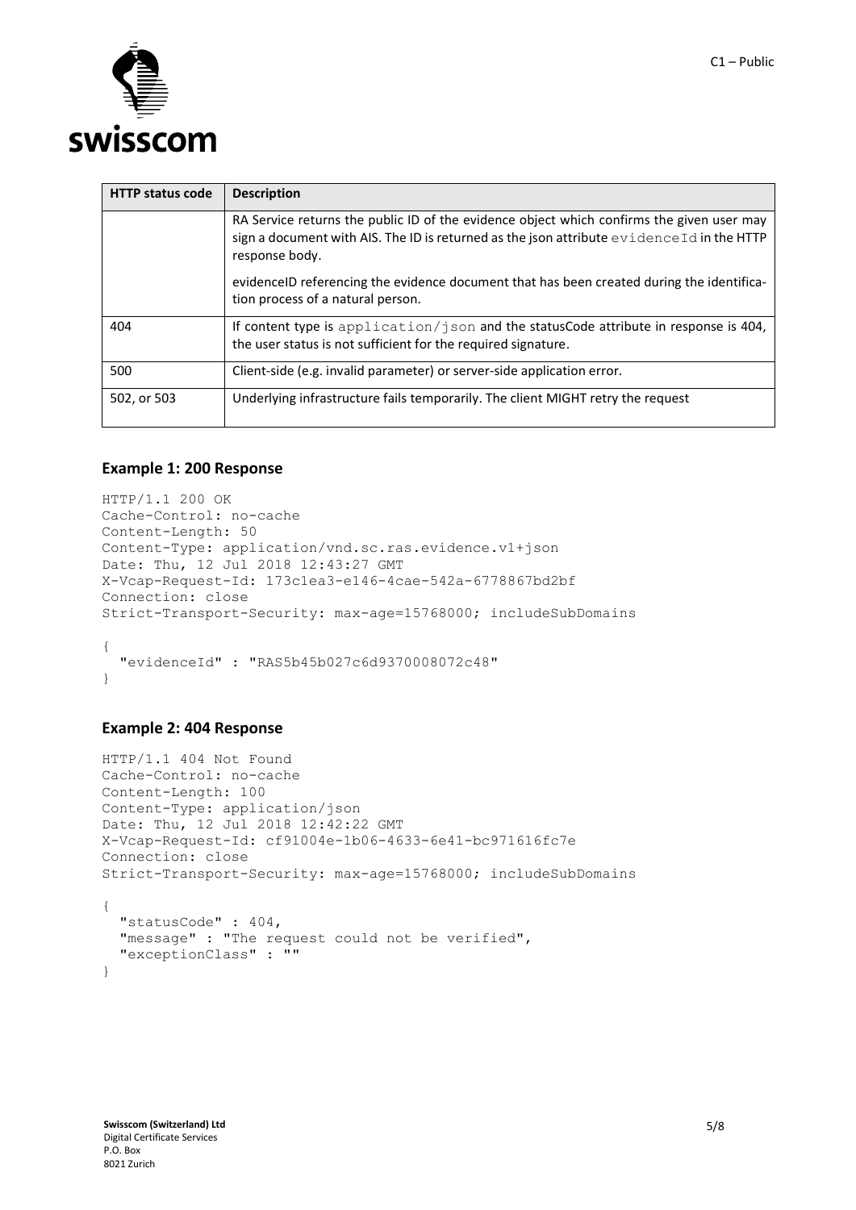

| <b>HTTP status code</b> | <b>Description</b>                                                                                                                                                                                        |
|-------------------------|-----------------------------------------------------------------------------------------------------------------------------------------------------------------------------------------------------------|
|                         | RA Service returns the public ID of the evidence object which confirms the given user may<br>sign a document with AIS. The ID is returned as the json attribute evidence Id in the HTTP<br>response body. |
|                         | evidenceID referencing the evidence document that has been created during the identifica-<br>tion process of a natural person.                                                                            |
| 404                     | If content type is application/json and the statusCode attribute in response is 404,<br>the user status is not sufficient for the required signature.                                                     |
| 500                     | Client-side (e.g. invalid parameter) or server-side application error.                                                                                                                                    |
| 502, or 503             | Underlying infrastructure fails temporarily. The client MIGHT retry the request                                                                                                                           |

# **Example 1: 200 Response**

```
HTTP/1.1 200 OK
Cache-Control: no-cache
Content-Length: 50
Content-Type: application/vnd.sc.ras.evidence.v1+json
Date: Thu, 12 Jul 2018 12:43:27 GMT
X-Vcap-Request-Id: 173c1ea3-e146-4cae-542a-6778867bd2bf
Connection: close
Strict-Transport-Security: max-age=15768000; includeSubDomains
{
   "evidenceId" : "RAS5b45b027c6d9370008072c48"
}
```
## **Example 2: 404 Response**

```
HTTP/1.1 404 Not Found
Cache-Control: no-cache
Content-Length: 100
Content-Type: application/json
Date: Thu, 12 Jul 2018 12:42:22 GMT
X-Vcap-Request-Id: cf91004e-1b06-4633-6e41-bc971616fc7e
Connection: close
Strict-Transport-Security: max-age=15768000; includeSubDomains
{
   "statusCode" : 404,
   "message" : "The request could not be verified",
   "exceptionClass" : ""
}
```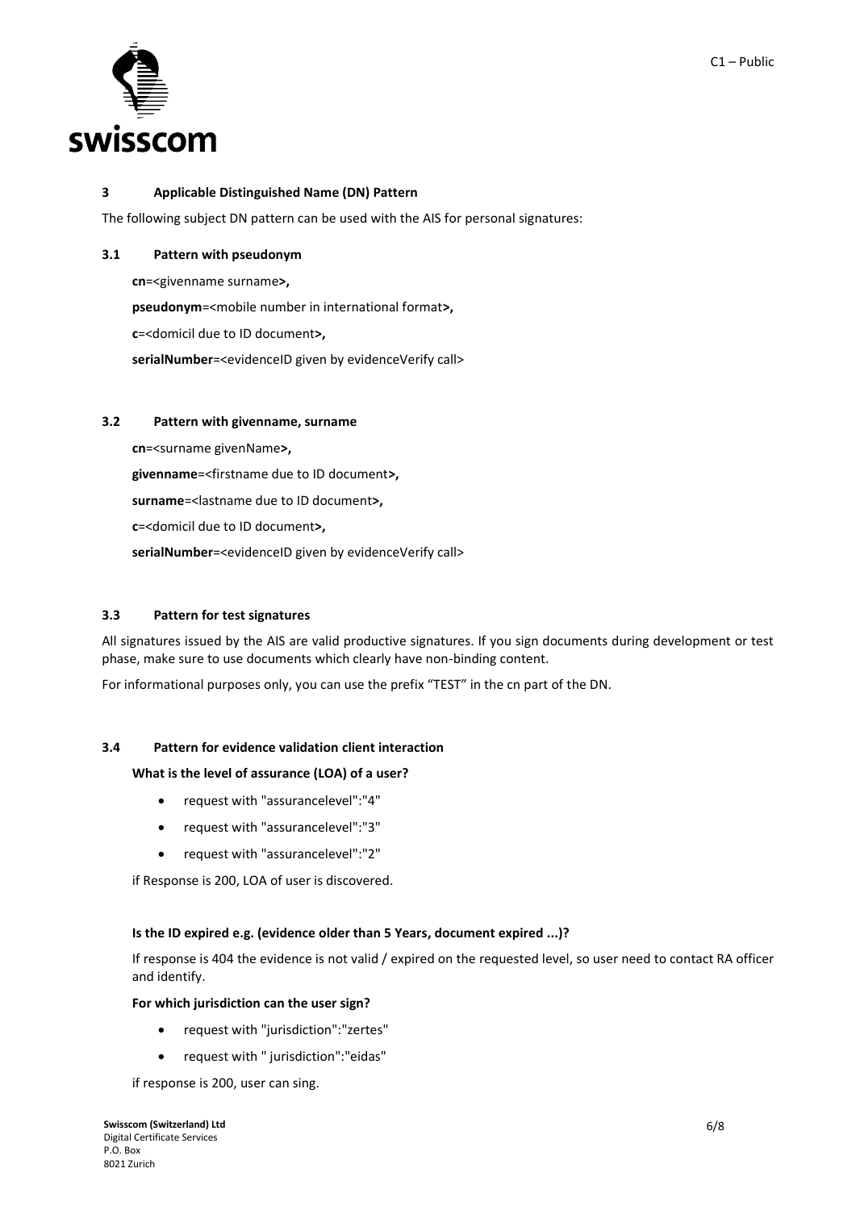

## <span id="page-5-0"></span>**3 Applicable Distinguished Name (DN) Pattern**

The following subject DN pattern can be used with the AIS for personal signatures:

## <span id="page-5-1"></span>**3.1 Pattern with pseudonym**

**cn**=<givenname surname**>,**

**pseudonym**=<mobile number in international format**>,** 

**c**=<domicil due to ID document**>,** 

serialNumber=<evidenceID given by evidenceVerify call>

## <span id="page-5-2"></span>**3.2 Pattern with givenname, surname**

**cn**=<surname givenName**>,** 

**givenname**=<firstname due to ID document**>,** 

**surname**=<lastname due to ID document**>,** 

**c**=<domicil due to ID document**>,** 

serialNumber=<evidenceID given by evidenceVerify call>

## <span id="page-5-3"></span>**3.3 Pattern for test signatures**

All signatures issued by the AIS are valid productive signatures. If you sign documents during development or test phase, make sure to use documents which clearly have non-binding content.

For informational purposes only, you can use the prefix "TEST" in the cn part of the DN.

# <span id="page-5-4"></span>**3.4 Pattern for evidence validation client interaction**

## **What is the level of assurance (LOA) of a user?**

- request with "assurancelevel":"4"
- request with "assurancelevel":"3"
- request with "assurancelevel":"2"

if Response is 200, LOA of user is discovered.

#### **Is the ID expired e.g. (evidence older than 5 Years, document expired ...)?**

If response is 404 the evidence is not valid / expired on the requested level, so user need to contact RA officer and identify.

#### **For which jurisdiction can the user sign?**

- request with "jurisdiction":"zertes"
- request with " jurisdiction":"eidas"

if response is 200, user can sing.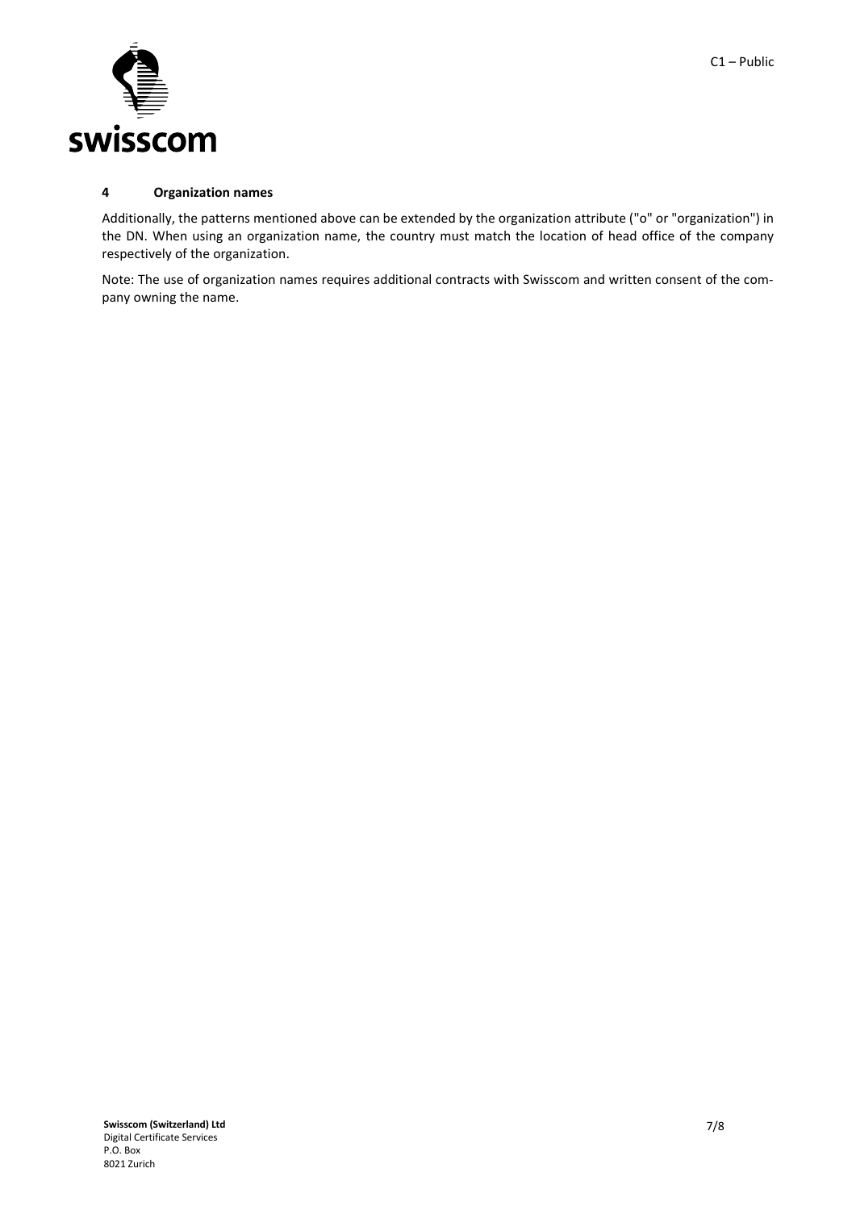

## <span id="page-6-0"></span>**4 Organization names**

Additionally, the patterns mentioned above can be extended by the organization attribute ("o" or "organization") in the DN. When using an organization name, the country must match the location of head office of the company respectively of the organization.

Note: The use of organization names requires additional contracts with Swisscom and written consent of the company owning the name.